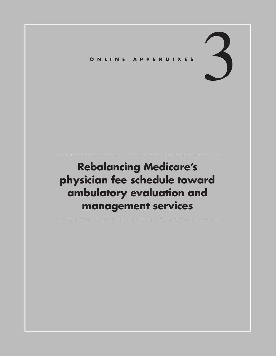# 3 **ONLINE APPENDIXES**

# **Rebalancing Medicare's physician fee schedule toward ambulatory evaluation and management services**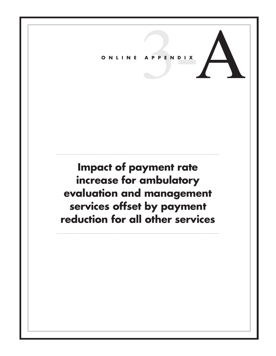# ONLINE APPENDIX

## **Impact of payment rate increase for ambulatory evaluation and management services offset by payment reduction for all other services**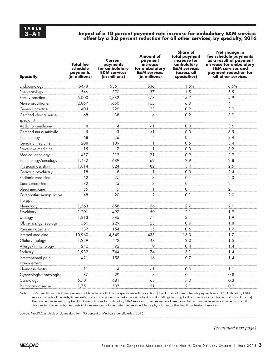## **3–A1 Impact of a 10 percent payment rate increase for ambulatory E&M services offset by a 3.8 percent reduction for all other services, by specialty, 2016**

| <b>Specialty</b>                       | <b>Total</b> fee<br>schedule<br>payments<br>(in millions) | Current<br>payments<br>for ambulatory<br><b>E&amp;M</b> services<br>(in millions) | Amount of<br>payment<br>increase<br>for ambulatory<br><b>E&amp;M</b> services<br>(in millions) | <b>Share of</b><br>total payment<br>increase for<br>ambulatory<br><b>E&amp;M</b> services<br>(across all<br>specialties) | Net change in<br>fee schedule payments<br>as a result of payment<br>increase for ambulatory<br><b>E&amp;M</b> services and<br>payment reduction for<br>all other services |
|----------------------------------------|-----------------------------------------------------------|-----------------------------------------------------------------------------------|------------------------------------------------------------------------------------------------|--------------------------------------------------------------------------------------------------------------------------|---------------------------------------------------------------------------------------------------------------------------------------------------------------------------|
| Endocrinology                          | \$478                                                     | \$361                                                                             | \$36                                                                                           | 1.5%                                                                                                                     | 6.6%                                                                                                                                                                      |
| Rheumatology                           | 546                                                       | 370                                                                               | 37                                                                                             | 1.5                                                                                                                      | 5.5                                                                                                                                                                       |
| Family practice                        | 6,000                                                     | 3,782                                                                             | 378                                                                                            | 15.7                                                                                                                     | 4.9                                                                                                                                                                       |
| Nurse practitioner                     | 2,867                                                     | 1,650                                                                             | 165                                                                                            | 6.8                                                                                                                      | 4.1                                                                                                                                                                       |
| General practice                       | 404                                                       | 226                                                                               | 23                                                                                             | 0.9                                                                                                                      | 3.9                                                                                                                                                                       |
| Certified clinical nurse<br>specialist | 68                                                        | 38                                                                                | 4                                                                                              | 0.2                                                                                                                      | 3.9                                                                                                                                                                       |
| Addiction medicine                     | 8                                                         | $\overline{4}$                                                                    | $\lt$ 1                                                                                        | 0.0                                                                                                                      | 3.6                                                                                                                                                                       |
| Certified nurse midwife                | 5                                                         | 3                                                                                 | $<$ 1                                                                                          | 0.0                                                                                                                      | 3.5                                                                                                                                                                       |
| Hematology                             | 68                                                        | 36                                                                                | 4                                                                                              | 0.1                                                                                                                      | 3.4                                                                                                                                                                       |
| Geriatric medicine                     | 208                                                       | 109                                                                               | 11                                                                                             | 0.5                                                                                                                      | 3.4                                                                                                                                                                       |
| Preventive medicine                    | 15                                                        | 7                                                                                 | 1                                                                                              | 0.0                                                                                                                      | 3.2                                                                                                                                                                       |
| Medical oncology                       | 437                                                       | 212                                                                               | 21                                                                                             | 0.9                                                                                                                      | 2.9                                                                                                                                                                       |
| Hematology/oncology                    | 1,432                                                     | 689                                                                               | 69                                                                                             | 2.9                                                                                                                      | 2.8                                                                                                                                                                       |
| Physician assistant                    | 1,814                                                     | 824                                                                               | 82                                                                                             | 3.4                                                                                                                      | 2.5                                                                                                                                                                       |
| Geriatric psychiatry                   | 18                                                        | 8                                                                                 | 1                                                                                              | 0.0                                                                                                                      | 2.4                                                                                                                                                                       |
| Pediatric medicine                     | 62                                                        | 27                                                                                | 3                                                                                              | 0.1                                                                                                                      | 2.3                                                                                                                                                                       |
| Sports medicine                        | 82                                                        | 35                                                                                | 3                                                                                              | 0.1                                                                                                                      | 2.1                                                                                                                                                                       |
| Sleep medicine                         | 35                                                        | 15                                                                                | 1                                                                                              | 0.1                                                                                                                      | 2.1                                                                                                                                                                       |
| Osteopathic manipulative<br>therapy    | 48                                                        | 20                                                                                | $\overline{2}$                                                                                 | 0.1                                                                                                                      | 2.0                                                                                                                                                                       |
| Neurology                              | 1,563                                                     | 658                                                                               | 66                                                                                             | 2.7                                                                                                                      | 2.0                                                                                                                                                                       |
| Psychiatry                             | 1,201                                                     | 497                                                                               | 50                                                                                             | 2.1                                                                                                                      | 1.9                                                                                                                                                                       |
| Urology                                | 1,813                                                     | 745                                                                               | 74                                                                                             | 3.1                                                                                                                      | 1.9                                                                                                                                                                       |
| Obstetrics/gynecology                  | 560                                                       | 229                                                                               | 23                                                                                             | 0.9                                                                                                                      | 1.8                                                                                                                                                                       |
| Pain management                        | 387                                                       | 154                                                                               | 15                                                                                             | 0.6                                                                                                                      | 1.7                                                                                                                                                                       |
| Internal medicine                      | 10,960                                                    | 4,349                                                                             | 435                                                                                            | 18.0                                                                                                                     | 1.7                                                                                                                                                                       |
| Otolaryngology                         | 1,229                                                     | 472                                                                               | 47                                                                                             | 2.0                                                                                                                      | 1.5                                                                                                                                                                       |
| Allergy/immunology                     | 242                                                       | 92                                                                                | 9                                                                                              | 0.4                                                                                                                      | 1.4                                                                                                                                                                       |
| Podiatry                               | 1,982                                                     | 744                                                                               | 74                                                                                             | 3.1                                                                                                                      | $1.4\,$                                                                                                                                                                   |
| Interventional pain                    | 421                                                       | 158                                                                               | 16                                                                                             | 0.7                                                                                                                      | 1.4                                                                                                                                                                       |
| management                             |                                                           |                                                                                   |                                                                                                |                                                                                                                          |                                                                                                                                                                           |
| Neuropsychiatry                        | 11                                                        | $\overline{4}$                                                                    | $\leq$ $\frac{1}{2}$                                                                           | 0.0                                                                                                                      | 1.1                                                                                                                                                                       |
| Gynecologist/oncologist                | 87                                                        | 29                                                                                | 3                                                                                              | 0.1                                                                                                                      | 0.8                                                                                                                                                                       |
| Cardiology                             | 5,701                                                     | 1,681                                                                             | 168                                                                                            | $7.0\,$                                                                                                                  | 0.3                                                                                                                                                                       |
| Pulmonary disease                      | 1,751                                                     | 507                                                                               | 51                                                                                             | 2.1                                                                                                                      | 0.2                                                                                                                                                                       |

Note: E&M (evaluation and management). Table includes all clinician specialties with more than \$1 million in total fee schedule payments in 2016. Ambulatory E&M services include office visits, home visits, and visits to patients in certain non-inpatient hospital settings (nursing facility, domiciliary, rest home, and custodial care). The payment increase is applied to allowed charges for ambulatory E&M services. Estimates assume there would be no changes in service volume as a result of changes in payment rates. Analysis includes services billable under the fee schedule for physician and other health professional services.

Source: MedPAC analysis of claims data for 100 percent of Medicare beneficiaries, 2016.

*(continued next page)*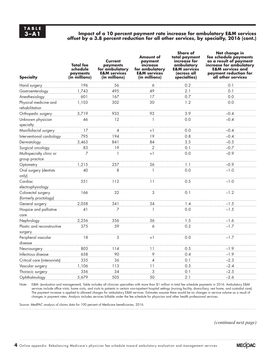### **3–A1 Impact of a 10 percent payment rate increase for ambulatory E&M services**  offset by a 3.8 percent reduction for all other services, by specialty, 2016 (cont.)

| <b>Specialty</b>                            | <b>Total</b> fee<br>schedule<br>payments<br>(in millions) | Current<br>payments<br>for ambulatory<br><b>E&amp;M</b> services<br>(in millions) | Amount of<br>payment<br>increase<br>for ambulatory<br><b>E&amp;M</b> services<br>(in millions) | <b>Share of</b><br>total payment<br>increase for<br>ambulatory<br><b>E&amp;M</b> services<br>(across all<br>specialties) | Net change in<br>fee schedule payments<br>as a result of payment<br>increase for ambulatory<br><b>E&amp;M</b> services and<br>payment reduction for<br>all other services |
|---------------------------------------------|-----------------------------------------------------------|-----------------------------------------------------------------------------------|------------------------------------------------------------------------------------------------|--------------------------------------------------------------------------------------------------------------------------|---------------------------------------------------------------------------------------------------------------------------------------------------------------------------|
| Hand surgery                                | 196                                                       | 56                                                                                | 6                                                                                              | 0.2                                                                                                                      | 0.1                                                                                                                                                                       |
| Gastroenterology                            | 1.743                                                     | 495                                                                               | 49                                                                                             | 2.1                                                                                                                      | 0.1                                                                                                                                                                       |
| Anesthesiology                              | 601                                                       | 167                                                                               | 17                                                                                             | 0.7                                                                                                                      | 0.0                                                                                                                                                                       |
| Physical medicine and<br>rehabilitation     | 1,103                                                     | 302                                                                               | 30                                                                                             | 1.2                                                                                                                      | 0.0                                                                                                                                                                       |
| Orthopedic surgery                          | 3,719                                                     | 933                                                                               | 93                                                                                             | 3.9                                                                                                                      | $-0.4$                                                                                                                                                                    |
| Unknown physician<br>specialty              | 46                                                        | 12                                                                                | $\mathbf{1}$                                                                                   | 0.0                                                                                                                      | $-0.4$                                                                                                                                                                    |
| Maxillofacial surgery                       | 17                                                        | 4                                                                                 | <1                                                                                             | 0.0                                                                                                                      | $-0.4$                                                                                                                                                                    |
| Interventional cardiology                   | 795                                                       | 194                                                                               | 19                                                                                             | 0.8                                                                                                                      | $-0.4$                                                                                                                                                                    |
| Dermatology                                 | 3,463                                                     | 841                                                                               | 84                                                                                             | 3.5                                                                                                                      | $-0.5$                                                                                                                                                                    |
| Surgical oncology                           | 83                                                        | 19                                                                                | $\overline{2}$                                                                                 | 0.1                                                                                                                      | $-0.7$                                                                                                                                                                    |
| Multispecialty clinic or                    | 7                                                         | 1                                                                                 | $<$ 1                                                                                          | 0.0                                                                                                                      | $-0.9$                                                                                                                                                                    |
| group practice                              | 1,215                                                     | 257                                                                               | 26                                                                                             | 1.1                                                                                                                      | $-0.9$                                                                                                                                                                    |
| Optometry                                   | 40                                                        | 8                                                                                 | 1                                                                                              | 0.0                                                                                                                      | $-1.0$                                                                                                                                                                    |
| Oral surgery (dentists<br>only)             |                                                           |                                                                                   |                                                                                                |                                                                                                                          |                                                                                                                                                                           |
| Cardiac<br>electrophysiology                | 551                                                       | 112                                                                               | 11                                                                                             | 0.5                                                                                                                      | $-1.0$                                                                                                                                                                    |
| Colorectal surgery<br>(formerly proctology) | 166                                                       | 32                                                                                | 3                                                                                              | 0.1                                                                                                                      | $-1.2$                                                                                                                                                                    |
| General surgery                             | 2,058                                                     | 341                                                                               | 34                                                                                             | 1.4                                                                                                                      | $-1.5$                                                                                                                                                                    |
| Hospice and palliative<br>care              | 41                                                        | $\overline{7}$                                                                    | $\mathbf{1}$                                                                                   | 0.0                                                                                                                      | $-1.5$                                                                                                                                                                    |
| Nephrology                                  | 2,256                                                     | 356                                                                               | 36                                                                                             | 1.5                                                                                                                      | $-1.6$                                                                                                                                                                    |
| Plastic and reconstructive                  | 375                                                       | 59                                                                                | 6                                                                                              | 0.2                                                                                                                      | $-1.7$                                                                                                                                                                    |
| surgery<br>Peripheral vascular<br>disease   | 18                                                        | 3                                                                                 | $\leq$ 1                                                                                       | 0.0                                                                                                                      | $-1.7$                                                                                                                                                                    |
| Neurosurgery                                | 803                                                       | 114                                                                               | 11                                                                                             | 0.5                                                                                                                      | $-1.9$                                                                                                                                                                    |
| Infectious disease                          | 658                                                       | 90                                                                                | 9                                                                                              | 0.4                                                                                                                      | $-1.9$                                                                                                                                                                    |
| Critical care (intensivists)                | 335                                                       | 36                                                                                | 4                                                                                              | 0.1                                                                                                                      | $-2.3$                                                                                                                                                                    |
| Vascular surgery                            | 1,106                                                     | 113                                                                               | 11                                                                                             | 0.5                                                                                                                      | $-2.4$                                                                                                                                                                    |
| Thoracic surgery                            | 356                                                       | 34                                                                                | 3                                                                                              | 0.1                                                                                                                      | $-2.5$                                                                                                                                                                    |
| Ophthalmology                               | 5,679                                                     | 505                                                                               | 50                                                                                             | 2.1                                                                                                                      | $-2.6$                                                                                                                                                                    |

Note: E&M (evaluation and management). Table includes all clinician specialties with more than \$1 million in total fee schedule payments in 2016. Ambulatory E&M services include office visits, home visits, and visits to patients in certain non-inpatient hospital settings (nursing facility, domiciliary, rest home, and custodial care). The payment increase is applied to allowed charges for ambulatory E&M services. Estimates assume there would be no changes in service volume as a result of changes in payment rates. Analysis includes services billable under the fee schedule for physician and other health professional services.

Source: MedPAC analysis of claims data for 100 percent of Medicare beneficiaries, 2016.

*(continued next page)*